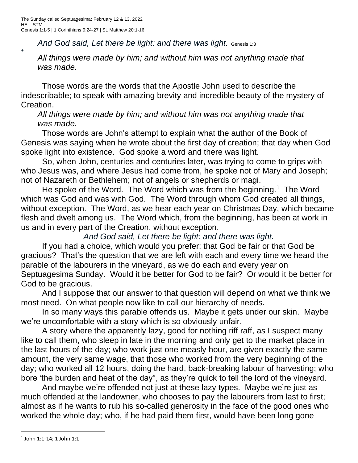*+*

And God said, Let there be light: and there was light. Genesis 1:3

*All things were made by him; and without him was not anything made that was made.*

Those words are the words that the Apostle John used to describe the indescribable; to speak with amazing brevity and incredible beauty of the mystery of Creation.

*All things were made by him; and without him was not anything made that was made.*

Those words are John's attempt to explain what the author of the Book of Genesis was saying when he wrote about the first day of creation; that day when God spoke light into existence. God spoke a word and there was light.

So, when John, centuries and centuries later, was trying to come to grips with who Jesus was, and where Jesus had come from, he spoke not of Mary and Joseph; not of Nazareth or Bethlehem; not of angels or shepherds or magi.

He spoke of the Word. The Word which was from the beginning.<sup>1</sup> The Word which was God and was with God. The Word through whom God created all things, without exception. The Word, as we hear each year on Christmas Day, which became flesh and dwelt among us. The Word which, from the beginning, has been at work in us and in every part of the Creation, without exception.

*And God said, Let there be light: and there was light.*

If you had a choice, which would you prefer: that God be fair or that God be gracious? That's the question that we are left with each and every time we heard the parable of the labourers in the vineyard, as we do each and every year on Septuagesima Sunday. Would it be better for God to be fair? Or would it be better for God to be gracious.

And I suppose that our answer to that question will depend on what we think we most need. On what people now like to call our hierarchy of needs.

In so many ways this parable offends us. Maybe it gets under our skin. Maybe we're uncomfortable with a story which is so obviously unfair.

A story where the apparently lazy, good for nothing riff raff, as I suspect many like to call them, who sleep in late in the morning and only get to the market place in the last hours of the day; who work just one measly hour, are given exactly the same amount, the very same wage, that those who worked from the very beginning of the day; who worked all 12 hours, doing the hard, back-breaking labour of harvesting; who bore 'the burden and heat of the day", as they're quick to tell the lord of the vineyard.

And maybe we're offended not just at these lazy types. Maybe we're just as much offended at the landowner, who chooses to pay the labourers from last to first; almost as if he wants to rub his so-called generosity in the face of the good ones who worked the whole day; who, if he had paid them first, would have been long gone

 $^{\rm 1}$  John 1:1-14; 1 John 1:1